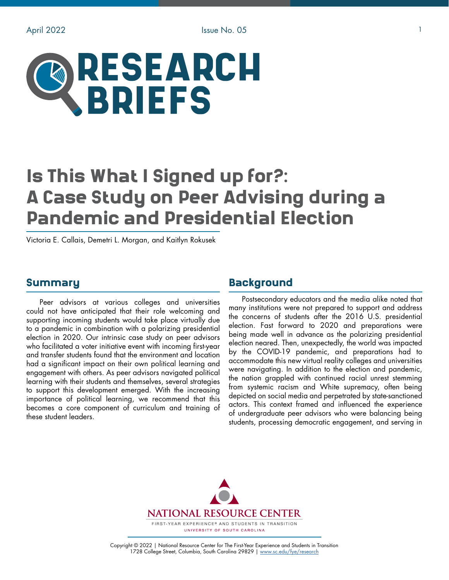# RESEARCH **BRIEFS**

# Is This What I Signed up for?: A Case Study on Peer Advising during a Pandemic and Presidential Election

Victoria E. Callais, Demetri L. Morgan, and Kaitlyn Rokusek

#### Summary

Peer advisors at various colleges and universities could not have anticipated that their role welcoming and supporting incoming students would take place virtually due to a pandemic in combination with a polarizing presidential election in 2020. Our intrinsic case study on peer advisors who facilitated a voter initiative event with incoming first-year and transfer students found that the environment and location had a significant impact on their own political learning and engagement with others. As peer advisors navigated political learning with their students and themselves, several strategies to support this development emerged. With the increasing importance of political learning, we recommend that this becomes a core component of curriculum and training of these student leaders.

## **Background**

Postsecondary educators and the media alike noted that many institutions were not prepared to support and address the concerns of students after the 2016 U.S. presidential election. Fast forward to 2020 and preparations were being made well in advance as the polarizing presidential election neared. Then, unexpectedly, the world was impacted by the COVID-19 pandemic, and preparations had to accommodate this new virtual reality colleges and universities were navigating. In addition to the election and pandemic, the nation grappled with continued racial unrest stemming from systemic racism and White supremacy, often being depicted on social media and perpetrated by state-sanctioned actors. This context framed and influenced the experience of undergraduate peer advisors who were balancing being students, processing democratic engagement, and serving in



Copyright © 2022 | National Resource Center for The First-Year Experience and Students in Transition 1728 College Street, Columbia, South Carolina 29829 | [www.sc.edu/fye/research](https://sc.edu/about/offices_and_divisions/national_resource_center/research/index.php)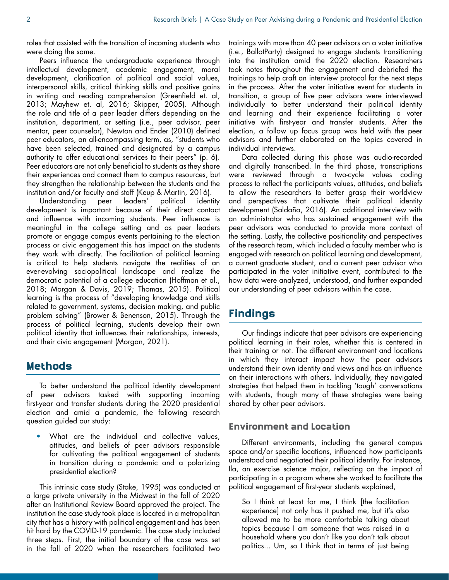roles that assisted with the transition of incoming students who were doing the same.

Peers influence the undergraduate experience through intellectual development, academic engagement, moral development, clarification of political and social values, interpersonal skills, critical thinking skills and positive gains in writing and reading comprehension (Greenfield et. al, 2013; Mayhew et. al, 2016; Skipper, 2005). Although the role and title of a peer leader differs depending on the institution, department, or setting (i.e., peer advisor, peer mentor, peer counselor), Newton and Ender (2010) defined peer educators, an all-encompassing term, as, "students who have been selected, trained and designated by a campus authority to offer educational services to their peers" (p. 6). Peer educators are not only beneficial to students as they share their experiences and connect them to campus resources, but they strengthen the relationship between the students and the institution and/or faculty and staff (Keup & Martin, 2016).

Understanding peer leaders' political identity development is important because of their direct contact and influence with incoming students. Peer influence is meaningful in the college setting and as peer leaders promote or engage campus events pertaining to the election process or civic engagement this has impact on the students they work with directly. The facilitation of political learning is critical to help students navigate the realities of an ever-evolving sociopolitical landscape and realize the democratic potential of a college education (Hoffman et al., 2018; Morgan & Davis, 2019; Thomas, 2015). Political learning is the process of "developing knowledge and skills related to government, systems, decision making, and public problem solving" (Brower & Benenson, 2015). Through the process of political learning, students develop their own political identity that influences their relationships, interests, and their civic engagement (Morgan, 2021).

### Methods

To better understand the political identity development peer advisors tasked with supporting incoming first-year and transfer students during the 2020 presidential election and amid a pandemic, the following research question guided our study:

• What are the individual and collective values, attitudes, and beliefs of peer advisors responsible for cultivating the political engagement of students in transition during a pandemic and a polarizing presidential election?

This intrinsic case study (Stake, 1995) was conducted at a large private university in the Midwest in the fall of 2020 after an Institutional Review Board approved the project. The institution the case study took place is located in a metropolitan city that has a history with political engagement and has been hit hard by the COVID-19 pandemic. The case study included three steps. First, the initial boundary of the case was set in the fall of 2020 when the researchers facilitated two trainings with more than 40 peer advisors on a voter initiative (i.e., BallotParty) designed to engage students transitioning into the institution amid the 2020 election. Researchers took notes throughout the engagement and debriefed the trainings to help craft an interview protocol for the next steps in the process. After the voter initiative event for students in transition, a group of five peer advisors were interviewed individually to better understand their political identity and learning and their experience facilitating a voter initiative with first-year and transfer students. After the election, a follow up focus group was held with the peer advisors and further elaborated on the topics covered in individual interviews.

Data collected during this phase was audio-recorded and digitally transcribed. In the third phase, transcriptions were reviewed through a two-cycle values coding process to reflect the participants values, attitudes, and beliefs to allow the researchers to better grasp their worldview and perspectives that cultivate their political identity development (Saldaña, 2016). An additional interview with an administrator who has sustained engagement with the peer advisors was conducted to provide more context of the setting. Lastly, the collective positionality and perspectives of the research team, which included a faculty member who is engaged with research on political learning and development, a current graduate student, and a current peer advisor who participated in the voter initiative event, contributed to the how data were analyzed, understood, and further expanded our understanding of peer advisors within the case.

# **Findings**

Our findings indicate that peer advisors are experiencing political learning in their roles, whether this is centered in their training or not. The different environment and locations in which they interact impact how the peer advisors understand their own identity and views and has an influence on their interactions with others. Individually, they navigated strategies that helped them in tackling 'tough' conversations with students, though many of these strategies were being shared by other peer advisors.

#### Environment and Location

Different environments, including the general campus space and/or specific locations, influenced how participants understood and negotiated their political identity. For instance, Ila, an exercise science major, reflecting on the impact of participating in a program where she worked to facilitate the political engagement of first-year students explained,

So I think at least for me, I think [the facilitation experience] not only has it pushed me, but it's also allowed me to be more comfortable talking about topics because I am someone that was raised in a household where you don't like you don't talk about politics... Um, so I think that in terms of just being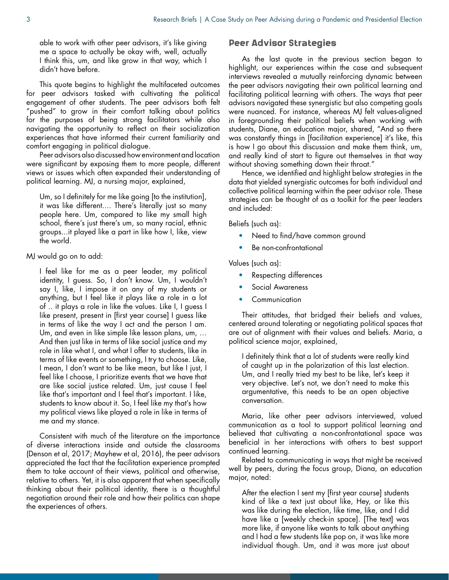able to work with other peer advisors, it's like giving me a space to actually be okay with, well, actually I think this, um, and like grow in that way, which I didn't have before.

This quote begins to highlight the multifaceted outcomes for peer advisors tasked with cultivating the political engagement of other students. The peer advisors both felt "pushed" to grow in their comfort talking about politics for the purposes of being strong facilitators while also navigating the opportunity to reflect on their socialization experiences that have informed their current familiarity and comfort engaging in political dialogue.

Peer advisors also discussed how environment and location were significant by exposing them to more people, different views or issues which often expanded their understanding of political learning. MJ, a nursing major, explained,

Um, so I definitely for me like going [to the institution], it was like different.... There's literally just so many people here. Um, compared to like my small high school, there's just there's um, so many racial, ethnic groups...it played like a part in like how I, like, view the world.

MJ would go on to add:

I feel like for me as a peer leader, my political identity, I guess. So, I don't know. Um, I wouldn't say I, like, I impose it on any of my students or anything, but I feel like it plays like a role in a lot of .. it plays a role in like the values. Like I, I guess I like present, present in [first year course] I guess like in terms of like the way I act and the person I am. Um, and even in like simple like lesson plans, um, … And then just like in terms of like social justice and my role in like what I, and what I offer to students, like in terms of like events or something, I try to choose. Like, I mean, I don't want to be like mean, but like I just, I feel like I choose, I prioritize events that we have that are like social justice related. Um, just cause I feel like that's important and I feel that's important. I like, students to know about it. So, I feel like my that's how my political views like played a role in like in terms of me and my stance.

Consistent with much of the literature on the importance of diverse interactions inside and outside the classrooms (Denson et al, 2017; Mayhew et al, 2016), the peer advisors appreciated the fact that the facilitation experience prompted them to take account of their views, political and otherwise, relative to others. Yet, it is also apparent that when specifically thinking about their political identity, there is a thoughtful negotiation around their role and how their politics can shape the experiences of others.

#### Peer Advisor Strategies

As the last quote in the previous section began to highlight, our experiences within the case and subsequent interviews revealed a mutually reinforcing dynamic between the peer advisors navigating their own political learning and facilitating political learning with others. The ways that peer advisors navigated these synergistic but also competing goals were nuanced. For instance, whereas MJ felt values-aligned in foregrounding their political beliefs when working with students, Diane, an education major, shared, "And so there was constantly things in [facilitation experience] it's like, this is how I go about this discussion and make them think, um, and really kind of start to figure out themselves in that way without shoving something down their throat."

Hence, we identified and highlight below strategies in the data that yielded synergistic outcomes for both individual and collective political learning within the peer advisor role. These strategies can be thought of as a toolkit for the peer leaders and included:

Beliefs (such as):

- Need to find/have common ground
- Be non-confrontational

Values (such as):

- Respecting differences
- Social Awareness
- Communication

Their attitudes, that bridged their beliefs and values, centered around tolerating or negotiating political spaces that are out of alignment with their values and beliefs. Maria, a political science major, explained,

I definitely think that a lot of students were really kind of caught up in the polarization of this last election. Um, and I really tried my best to be like, let's keep it very objective. Let's not, we don't need to make this argumentative, this needs to be an open objective conversation.

Maria, like other peer advisors interviewed, valued communication as a tool to support political learning and believed that cultivating a non-confrontational space was beneficial in her interactions with others to best support continued learning.

Related to communicating in ways that might be received well by peers, during the focus group, Diana, an education major, noted:

After the election I sent my [first year course] students kind of like a text just about like, Hey, or like this was like during the election, like time, like, and I did have like a [weekly check-in space]. [The text] was more like, if anyone like wants to talk about anything and I had a few students like pop on, it was like more individual though. Um, and it was more just about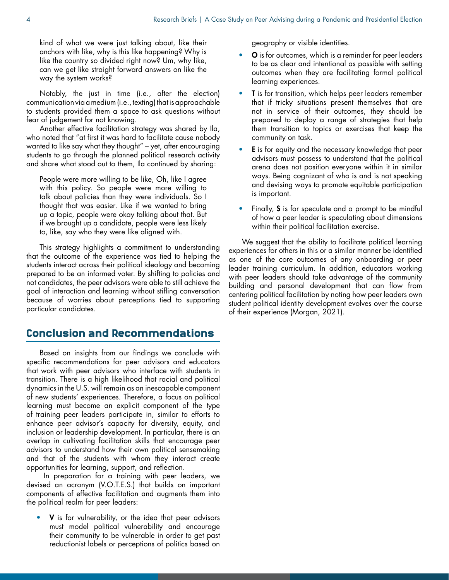kind of what we were just talking about, like their anchors with like, why is this like happening? Why is like the country so divided right now? Um, why like, can we get like straight forward answers on like the way the system works?

Notably, the just in time (i.e., after the election) communication via a medium (i.e., texting) that is approachable to students provided them a space to ask questions without fear of judgement for not knowing.

Another effective facilitation strategy was shared by Ila, who noted that "at first it was hard to facilitate cause nobody wanted to like say what they thought" – yet, after encouraging students to go through the planned political research activity and share what stood out to them, Ila continued by sharing:

People were more willing to be like, Oh, like I agree with this policy. So people were more willing to talk about policies than they were individuals. So I thought that was easier. Like if we wanted to bring up a topic, people were okay talking about that. But if we brought up a candidate, people were less likely to, like, say who they were like aligned with.

This strategy highlights a commitment to understanding that the outcome of the experience was tied to helping the students interact across their political ideology and becoming prepared to be an informed voter. By shifting to policies and not candidates, the peer advisors were able to still achieve the goal of interaction and learning without stifling conversation because of worries about perceptions tied to supporting particular candidates.

# Conclusion and Recommendations

Based on insights from our findings we conclude with specific recommendations for peer advisors and educators that work with peer advisors who interface with students in transition. There is a high likelihood that racial and political dynamics in the U.S. will remain as an inescapable component of new students' experiences. Therefore, a focus on political learning must become an explicit component of the type of training peer leaders participate in, similar to efforts to enhance peer advisor's capacity for diversity, equity, and inclusion or leadership development. In particular, there is an overlap in cultivating facilitation skills that encourage peer advisors to understand how their own political sensemaking and that of the students with whom they interact create opportunities for learning, support, and reflection.

 In preparation for a training with peer leaders, we devised an acronym (V.O.T.E.S.) that builds on important components of effective facilitation and augments them into the political realm for peer leaders:

V is for vulnerability, or the idea that peer advisors must model political vulnerability and encourage their community to be vulnerable in order to get past reductionist labels or perceptions of politics based on

geography or visible identities.

- O is for outcomes, which is a reminder for peer leaders to be as clear and intentional as possible with setting outcomes when they are facilitating formal political learning experiences.
- **T** is for transition, which helps peer leaders remember that if tricky situations present themselves that are not in service of their outcomes, they should be prepared to deploy a range of strategies that help them transition to topics or exercises that keep the community on task.
- **E** is for equity and the necessary knowledge that peer advisors must possess to understand that the political arena does not position everyone within it in similar ways. Being cognizant of who is and is not speaking and devising ways to promote equitable participation is important.
- Finally, S is for speculate and a prompt to be mindful of how a peer leader is speculating about dimensions within their political facilitation exercise.

We suggest that the ability to facilitate political learning experiences for others in this or a similar manner be identified as one of the core outcomes of any onboarding or peer leader training curriculum. In addition, educators working with peer leaders should take advantage of the community building and personal development that can flow from centering political facilitation by noting how peer leaders own student political identity development evolves over the course of their experience (Morgan, 2021).